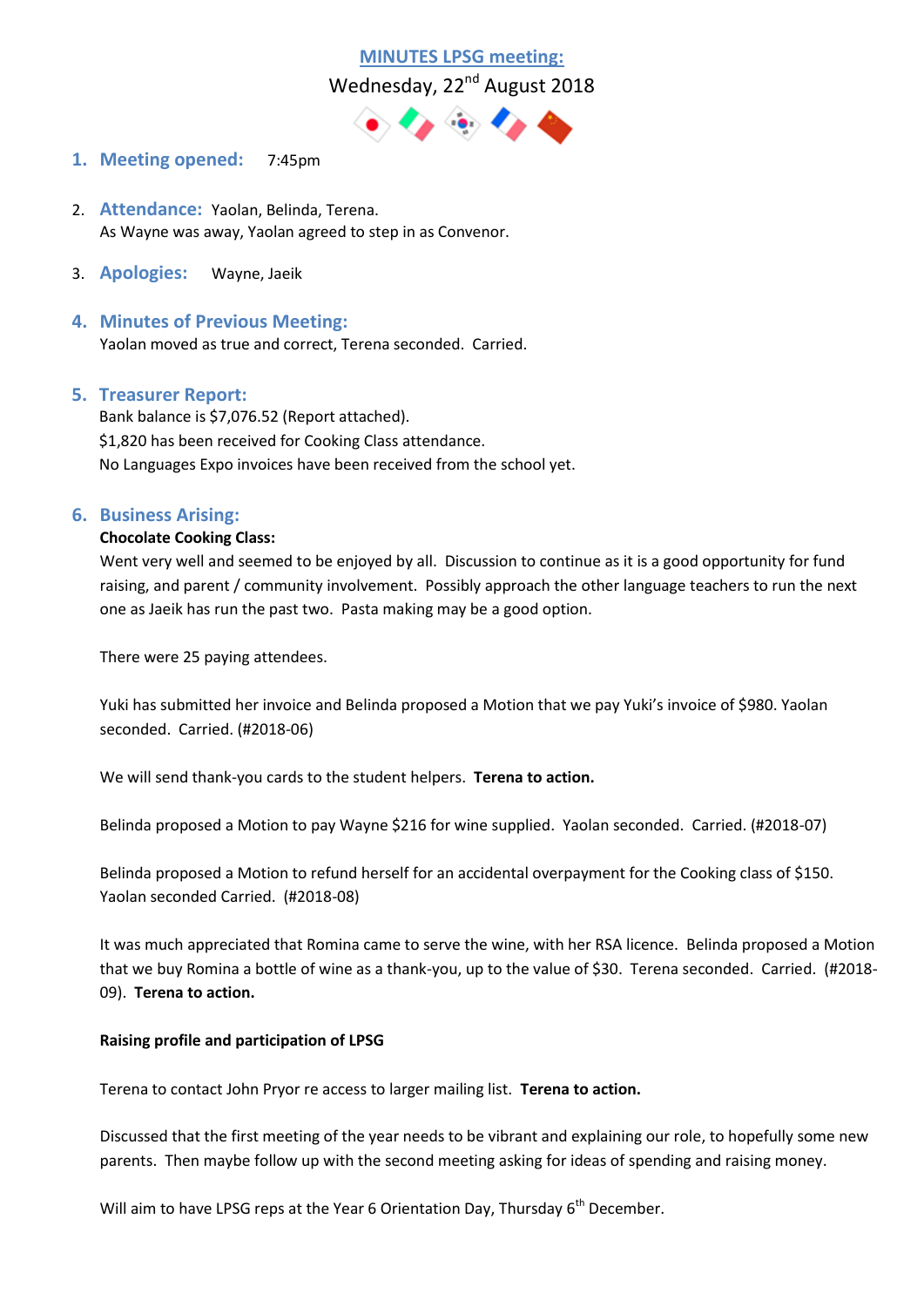

- **1. Meeting opened:** 7:45pm
- 2. **Attendance:** Yaolan, Belinda, Terena. As Wayne was away, Yaolan agreed to step in as Convenor.
- 3. **Apologies:** Wayne, Jaeik
- **4. Minutes of Previous Meeting:**  Yaolan moved as true and correct, Terena seconded. Carried.

### **5. Treasurer Report:**

Bank balance is \$7,076.52 (Report attached). \$1,820 has been received for Cooking Class attendance. No Languages Expo invoices have been received from the school yet.

### **6. Business Arising:**

### **Chocolate Cooking Class:**

Went very well and seemed to be enjoyed by all. Discussion to continue as it is a good opportunity for fund raising, and parent / community involvement. Possibly approach the other language teachers to run the next one as Jaeik has run the past two. Pasta making may be a good option.

There were 25 paying attendees.

Yuki has submitted her invoice and Belinda proposed a Motion that we pay Yuki's invoice of \$980. Yaolan seconded. Carried. (#2018-06)

We will send thank-you cards to the student helpers. **Terena to action.**

Belinda proposed a Motion to pay Wayne \$216 for wine supplied. Yaolan seconded. Carried. (#2018-07)

Belinda proposed a Motion to refund herself for an accidental overpayment for the Cooking class of \$150. Yaolan seconded Carried. (#2018-08)

It was much appreciated that Romina came to serve the wine, with her RSA licence. Belinda proposed a Motion that we buy Romina a bottle of wine as a thank-you, up to the value of \$30. Terena seconded. Carried. (#2018- 09). **Terena to action.**

### **Raising profile and participation of LPSG**

Terena to contact John Pryor re access to larger mailing list. **Terena to action.**

Discussed that the first meeting of the year needs to be vibrant and explaining our role, to hopefully some new parents. Then maybe follow up with the second meeting asking for ideas of spending and raising money.

Will aim to have LPSG reps at the Year 6 Orientation Day, Thursday 6<sup>th</sup> December.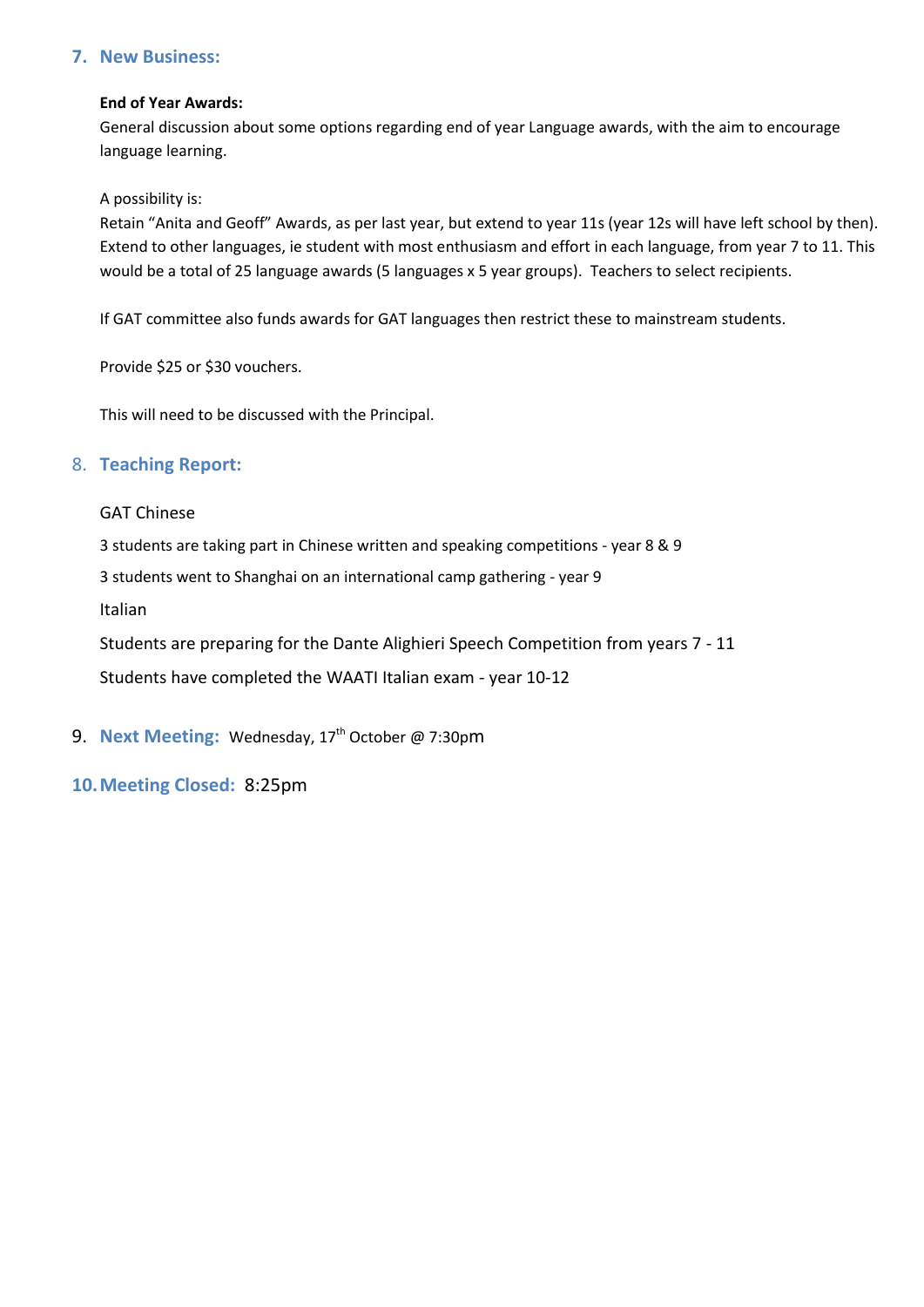## **7. New Business:**

### **End of Year Awards:**

General discussion about some options regarding end of year Language awards, with the aim to encourage language learning.

A possibility is:

Retain "Anita and Geoff" Awards, as per last year, but extend to year 11s (year 12s will have left school by then). Extend to other languages, ie student with most enthusiasm and effort in each language, from year 7 to 11. This would be a total of 25 language awards (5 languages x 5 year groups). Teachers to select recipients.

If GAT committee also funds awards for GAT languages then restrict these to mainstream students.

Provide \$25 or \$30 vouchers.

This will need to be discussed with the Principal.

## 8. **Teaching Report:**

### GAT Chinese

3 students are taking part in Chinese written and speaking competitions - year 8 & 9

3 students went to Shanghai on an international camp gathering - year 9

Italian

Students are preparing for the Dante Alighieri Speech Competition from years 7 - 11 Students have completed the WAATI Italian exam - year 10-12

- 9. **Next Meeting:** Wednesday, 17<sup>th</sup> October @ 7:30pm
- **10.Meeting Closed:** 8:25pm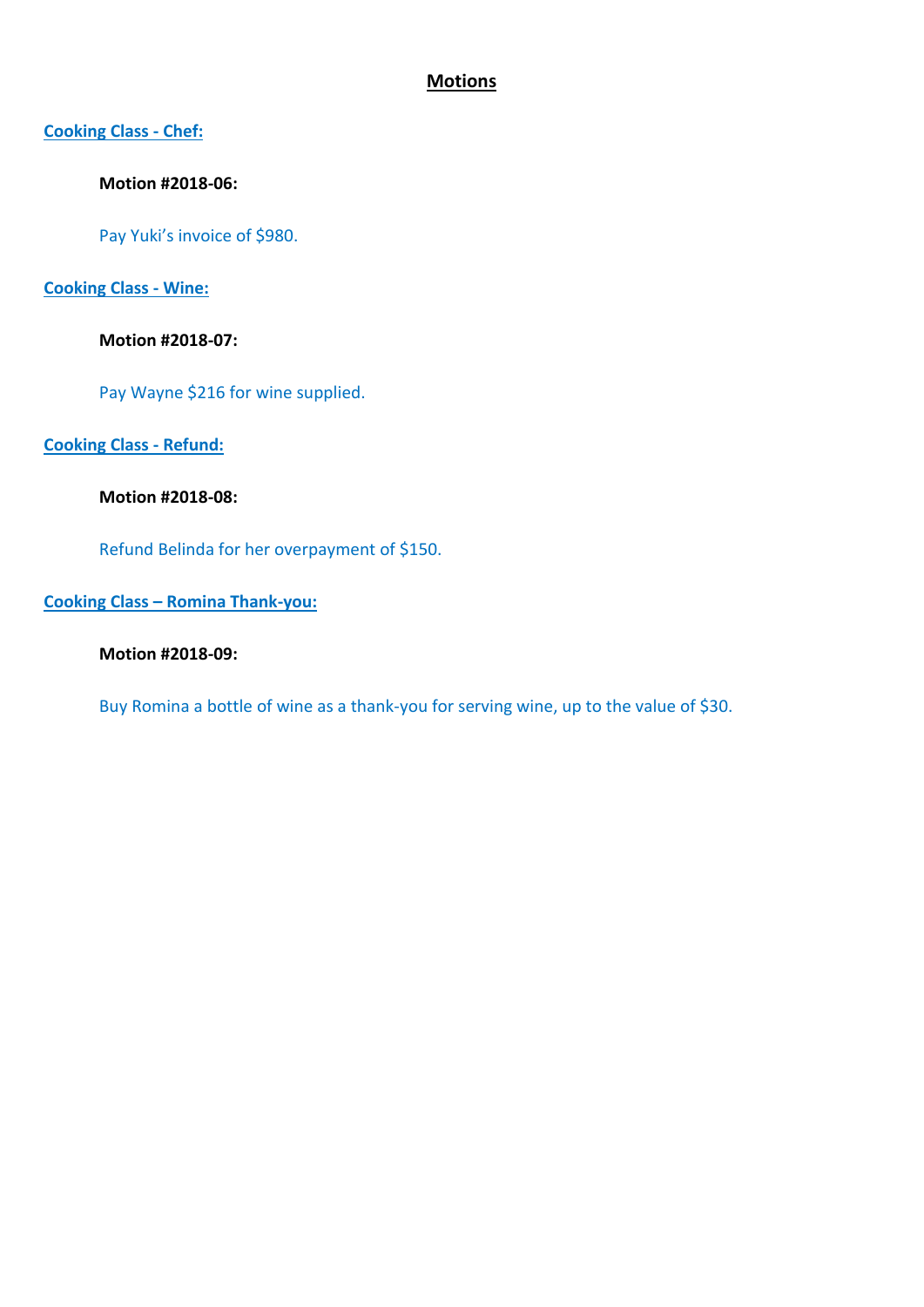# **Motions**

## **Cooking Class - Chef:**

## **Motion #2018-06:**

Pay Yuki's invoice of \$980.

## **Cooking Class - Wine:**

## **Motion #2018-07:**

Pay Wayne \$216 for wine supplied.

## **Cooking Class - Refund:**

## **Motion #2018-08:**

Refund Belinda for her overpayment of \$150.

## **Cooking Class – Romina Thank-you:**

## **Motion #2018-09:**

Buy Romina a bottle of wine as a thank-you for serving wine, up to the value of \$30.